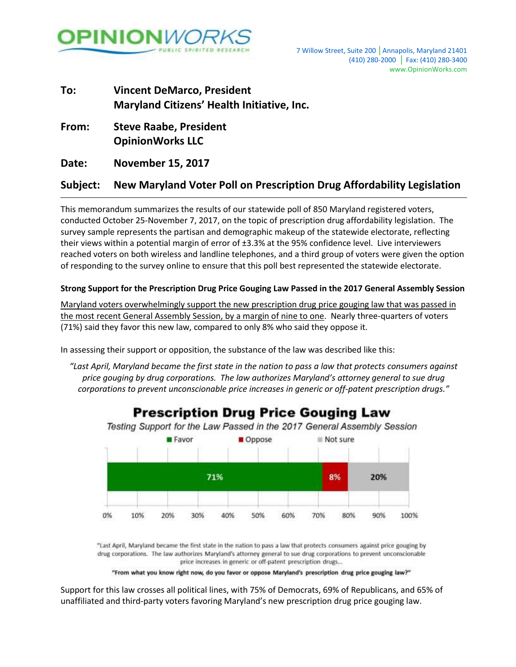

## **To: Vincent DeMarco, President Maryland Citizens' Health Initiative, Inc.**

**From: Steve Raabe, President OpinionWorks LLC**

**Date: November 15, 2017**

### **Subject: New Maryland Voter Poll on Prescription Drug Affordability Legislation**

This memorandum summarizes the results of our statewide poll of 850 Maryland registered voters, conducted October 25-November 7, 2017, on the topic of prescription drug affordability legislation. The survey sample represents the partisan and demographic makeup of the statewide electorate, reflecting their views within a potential margin of error of ±3.3% at the 95% confidence level. Live interviewers reached voters on both wireless and landline telephones, and a third group of voters were given the option of responding to the survey online to ensure that this poll best represented the statewide electorate.

### **Strong Support for the Prescription Drug Price Gouging Law Passed in the 2017 General Assembly Session**

Maryland voters overwhelmingly support the new prescription drug price gouging law that was passed in the most recent General Assembly Session, by a margin of nine to one. Nearly three-quarters of voters (71%) said they favor this new law, compared to only 8% who said they oppose it.

In assessing their support or opposition, the substance of the law was described like this:

*"Last April, Maryland became the first state in the nation to pass a law that protects consumers against price gouging by drug corporations. The law authorizes Maryland's attorney general to sue drug corporations to prevent unconscionable price increases in generic or off-patent prescription drugs."*



### **Prescription Drug Price Gouging Law**

"Last April, Maryland became the first state in the nation to pass a law that protects consumers against price gouging by drug corporations. The law authorizes Maryland's attorney general to sue drug corporations to prevent unconscionable price increases in generic or off-patent prescription drugs...

"From what you know right now, do you favor or oppose Maryland's prescription drug price gouging law?"

Support for this law crosses all political lines, with 75% of Democrats, 69% of Republicans, and 65% of unaffiliated and third-party voters favoring Maryland's new prescription drug price gouging law.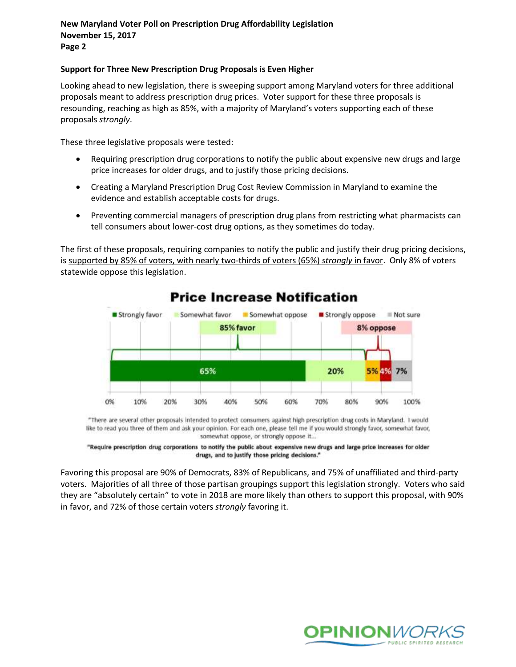#### **Support for Three New Prescription Drug Proposals is Even Higher**

Looking ahead to new legislation, there is sweeping support among Maryland voters for three additional proposals meant to address prescription drug prices. Voter support for these three proposals is resounding, reaching as high as 85%, with a majority of Maryland's voters supporting each of these proposals *strongly*.

These three legislative proposals were tested:

- Requiring prescription drug corporations to notify the public about expensive new drugs and large price increases for older drugs, and to justify those pricing decisions.
- Creating a Maryland Prescription Drug Cost Review Commission in Maryland to examine the evidence and establish acceptable costs for drugs.
- Preventing commercial managers of prescription drug plans from restricting what pharmacists can tell consumers about lower-cost drug options, as they sometimes do today.

The first of these proposals, requiring companies to notify the public and justify their drug pricing decisions, is supported by 85% of voters, with nearly two-thirds of voters (65%) *strongly* in favor. Only 8% of voters statewide oppose this legislation.



## **Price Increase Notification**

\*There are several other proposals intended to protect consumers against high prescription drug costs in Maryland. I would like to read you three of them and ask your opinion. For each one, please tell me if you would strongly favor, somewhat favor, somewhat oppose, or strongly oppose it...

"Require prescription drug corporations to notify the public about expensive new drugs and large price increases for older drugs, and to justify those pricing decisions."

Favoring this proposal are 90% of Democrats, 83% of Republicans, and 75% of unaffiliated and third-party voters. Majorities of all three of those partisan groupings support this legislation strongly. Voters who said they are "absolutely certain" to vote in 2018 are more likely than others to support this proposal, with 90% in favor, and 72% of those certain voters *strongly* favoring it.

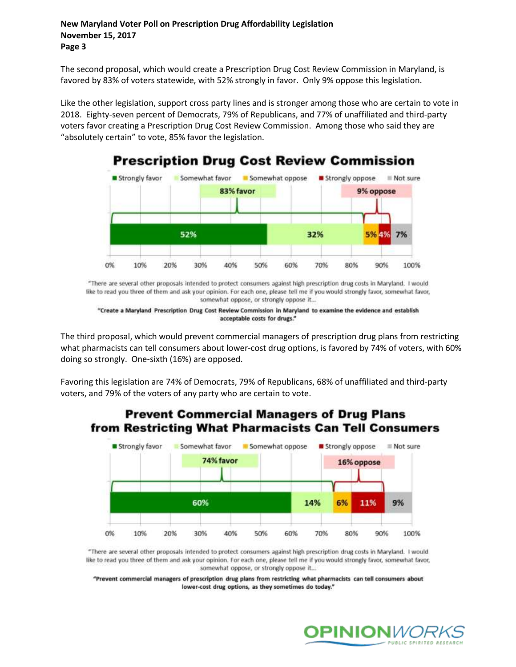The second proposal, which would create a Prescription Drug Cost Review Commission in Maryland, is favored by 83% of voters statewide, with 52% strongly in favor. Only 9% oppose this legislation.

Like the other legislation, support cross party lines and is stronger among those who are certain to vote in 2018. Eighty-seven percent of Democrats, 79% of Republicans, and 77% of unaffiliated and third-party voters favor creating a Prescription Drug Cost Review Commission. Among those who said they are "absolutely certain" to vote, 85% favor the legislation.



"There are several other proposals intended to protect consumers against high prescription drug costs in Maryland. I would like to read you three of them and ask your opinion. For each one, please tell me if you would strongly favor, somewhat favor, somewhat oppose, or strongly oppose it...

The third proposal, which would prevent commercial managers of prescription drug plans from restricting what pharmacists can tell consumers about lower-cost drug options, is favored by 74% of voters, with 60% doing so strongly. One-sixth (16%) are opposed.

Favoring this legislation are 74% of Democrats, 79% of Republicans, 68% of unaffiliated and third-party voters, and 79% of the voters of any party who are certain to vote.

### **Prevent Commercial Managers of Drug Plans** from Restricting What Pharmacists Can Tell Consumers



"There are several other proposals intended to protect consumers against high prescription drug costs in Maryland. I would like to read you three of them and ask your opinion. For each one, please tell me if you would strongly favor, somewhat favor, somewhat oppose, or strongly oppose it...

"Prevent commercial managers of prescription drug plans from restricting what pharmacists can tell consumers about lower-cost drug options, as they sometimes do today."



<sup>&</sup>quot;Create a Maryland Prescription Drug Cost Review Commission in Maryland to examine the evidence and establish acceptable costs for drugs."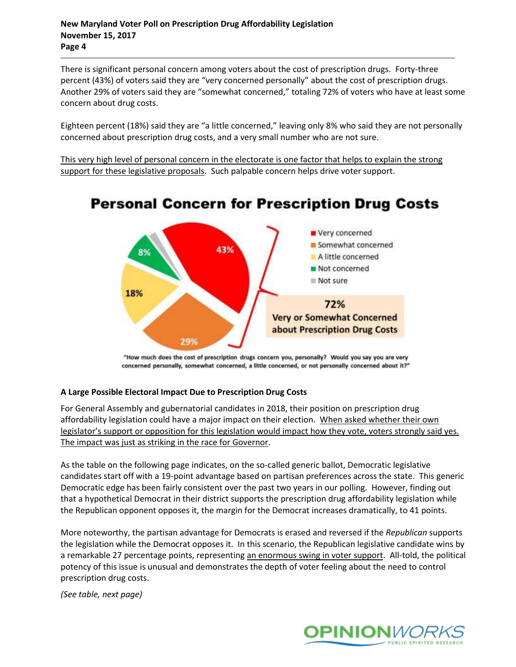#### **New Maryland Voter Poll on Prescription Drug Affordability Legislation November 15, 2017 Page 4**

There is significant personal concern among voters about the cost of prescription drugs. Forty-three percent (43%) of voters said they are "very concerned personally" about the cost of prescription drugs. Another 29% of voters said they are "somewhat concerned," totaling 72% of voters who have at least some concern about drug costs.

Eighteen percent (18%) said they are "a little concerned," leaving only 8% who said they are not personally concerned about prescription drug costs, and a very small number who are not sure.

This very high level of personal concern in the electorate is one factor that helps to explain the strong support for these legislative proposals. Such palpable concern helps drive voter support.



# **Personal Concern for Prescription Drug Costs**

"How much does the cost of prescription drugs concern you, personally? Would you say you are very concerned personally, somewhat concerned, a little concerned, or not personally concerned about it?"

### **A Large Possible Electoral Impact Due to Prescription Drug Costs**

For General Assembly and gubernatorial candidates in 2018, their position on prescription drug affordability legislation could have a major impact on their election. When asked whether their own legislator's support or opposition for this legislation would impact how they vote, voters strongly said yes. The impact was just as striking in the race for Governor.

As the table on the following page indicates, on the so-called generic ballot, Democratic legislative candidates start off with a 19-point advantage based on partisan preferences across the state. This generic Democratic edge has been fairly consistent over the past two years in our polling. However, finding out that a hypothetical Democrat in their district supports the prescription drug affordability legislation while the Republican opponent opposes it, the margin for the Democrat increases dramatically, to 41 points.

More noteworthy, the partisan advantage for Democrats is erased and reversed if the *Republican* supports the legislation while the Democrat opposes it. In this scenario, the Republican legislative candidate wins by a remarkable 27 percentage points, representing an enormous swing in voter support. All-told, the political potency of this issue is unusual and demonstrates the depth of voter feeling about the need to control prescription drug costs.

*(See table, next page)*

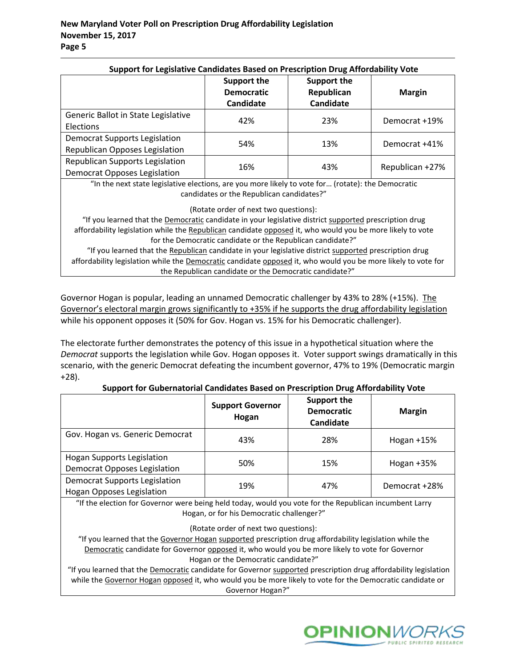| Support for Legislative Candidates Based on Prescription Drug Affordability Vote                   | <b>Support the</b><br><b>Democratic</b><br><b>Candidate</b> | Support the<br>Republican<br><b>Candidate</b> | <b>Margin</b>   |  |
|----------------------------------------------------------------------------------------------------|-------------------------------------------------------------|-----------------------------------------------|-----------------|--|
| Generic Ballot in State Legislative<br>Elections                                                   | 42%                                                         | 23%                                           | Democrat +19%   |  |
| <b>Democrat Supports Legislation</b><br>Republican Opposes Legislation                             | 54%                                                         | 13%                                           | Democrat +41%   |  |
| <b>Republican Supports Legislation</b><br><b>Democrat Opposes Legislation</b>                      | 16%                                                         | 43%                                           | Republican +27% |  |
| "In the next state legislative elections, are you more likely to yote for (rotate); the Democratic |                                                             |                                               |                 |  |

#### **Support for Legislative Candidates Based on Prescription Drug Affordability Vote**

In the next state legislative elections, are you more likely to vote for… (rotate): the Democratic candidates or the Republican candidates?"

(Rotate order of next two questions):

"If you learned that the **Democratic** candidate in your legislative district supported prescription drug affordability legislation while the Republican candidate opposed it, who would you be more likely to vote for the Democratic candidate or the Republican candidate?"

"If you learned that the Republican candidate in your legislative district supported prescription drug affordability legislation while the Democratic candidate opposed it, who would you be more likely to vote for the Republican candidate or the Democratic candidate?"

Governor Hogan is popular, leading an unnamed Democratic challenger by 43% to 28% (+15%). The Governor's electoral margin grows significantly to +35% if he supports the drug affordability legislation while his opponent opposes it (50% for Gov. Hogan vs. 15% for his Democratic challenger).

The electorate further demonstrates the potency of this issue in a hypothetical situation where the *Democrat* supports the legislation while Gov. Hogan opposes it. Voter support swings dramatically in this scenario, with the generic Democrat defeating the incumbent governor, 47% to 19% (Democratic margin +28).

|                                                                          | <b>Support Governor</b><br>Hogan | Support the<br><b>Democratic</b><br>Candidate | <b>Margin</b> |
|--------------------------------------------------------------------------|----------------------------------|-----------------------------------------------|---------------|
| Gov. Hogan vs. Generic Democrat                                          | 43%                              | 28%                                           | Hogan $+15%$  |
| <b>Hogan Supports Legislation</b><br><b>Democrat Opposes Legislation</b> | 50%                              | 15%                                           | Hogan $+35%$  |
| <b>Democrat Supports Legislation</b><br><b>Hogan Opposes Legislation</b> | 19%                              | 47%                                           | Democrat +28% |

| Support for Gubernatorial Candidates Based on Prescription Drug Affordability Vote |  |  |  |
|------------------------------------------------------------------------------------|--|--|--|
|                                                                                    |  |  |  |

"If the election for Governor were being held today, would you vote for the Republican incumbent Larry Hogan, or for his Democratic challenger?"

(Rotate order of next two questions):

"If you learned that the Governor Hogan supported prescription drug affordability legislation while the Democratic candidate for Governor opposed it, who would you be more likely to vote for Governor Hogan or the Democratic candidate?"

"If you learned that the Democratic candidate for Governor supported prescription drug affordability legislation while the Governor Hogan opposed it, who would you be more likely to vote for the Democratic candidate or Governor Hogan?"